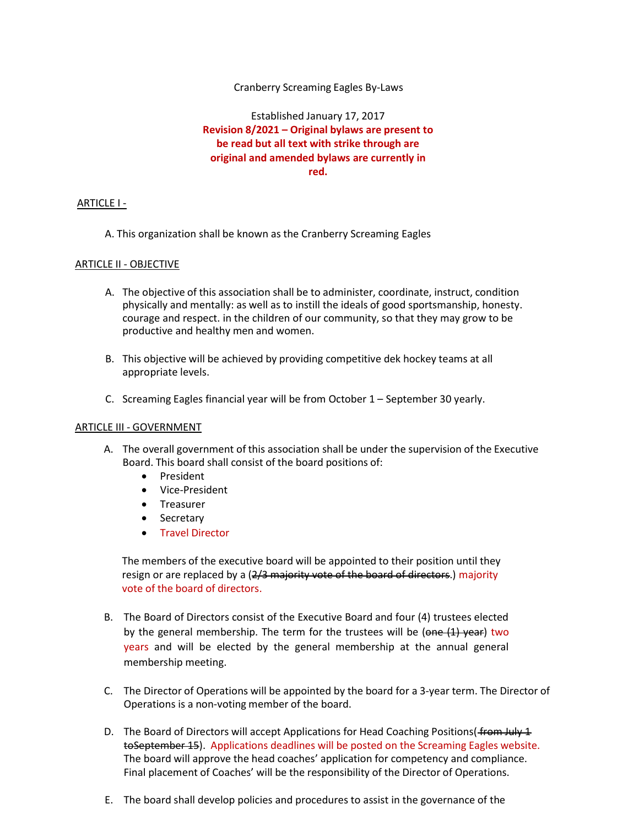## Cranberry Screaming Eagles By-Laws

Established January 17, 2017 Revision 8/2021 – Original bylaws are present to be read but all text with strike through are original and amended bylaws are currently in red.

## ARTICLE I -

A. This organization shall be known as the Cranberry Screaming Eagles

## ARTICLE II - OBJECTIVE

- A. The objective of this association shall be to administer, coordinate, instruct, condition physically and mentally: as well as to instill the ideals of good sportsmanship, honesty. courage and respect. in the children of our community, so that they may grow to be productive and healthy men and women.
- B. This objective will be achieved by providing competitive dek hockey teams at all appropriate levels.
- C. Screaming Eagles financial year will be from October 1 September 30 yearly.

### ARTICLE III - GOVERNMENT

- A. The overall government of this association shall be under the supervision of the Executive Board. This board shall consist of the board positions of:
	- President
	- Vice-President
	- Treasurer
	- Secretary
	- Travel Director

The members of the executive board will be appointed to their position until they resign or are replaced by a (2/3 majority vote of the board of directors.) majority vote of the board of directors.

- B. The Board of Directors consist of the Executive Board and four (4) trustees elected by the general membership. The term for the trustees will be ( $\theta$ ne  $(1)$  year) two years and will be elected by the general membership at the annual general membership meeting.
- C. The Director of Operations will be appointed by the board for a 3-year term. The Director of Operations is a non-voting member of the board.
- D. The Board of Directors will accept Applications for Head Coaching Positions (from July 1 toSeptember 15). Applications deadlines will be posted on the Screaming Eagles website. The board will approve the head coaches' application for competency and compliance. Final placement of Coaches' will be the responsibility of the Director of Operations.
- E. The board shall develop policies and procedures to assist in the governance of the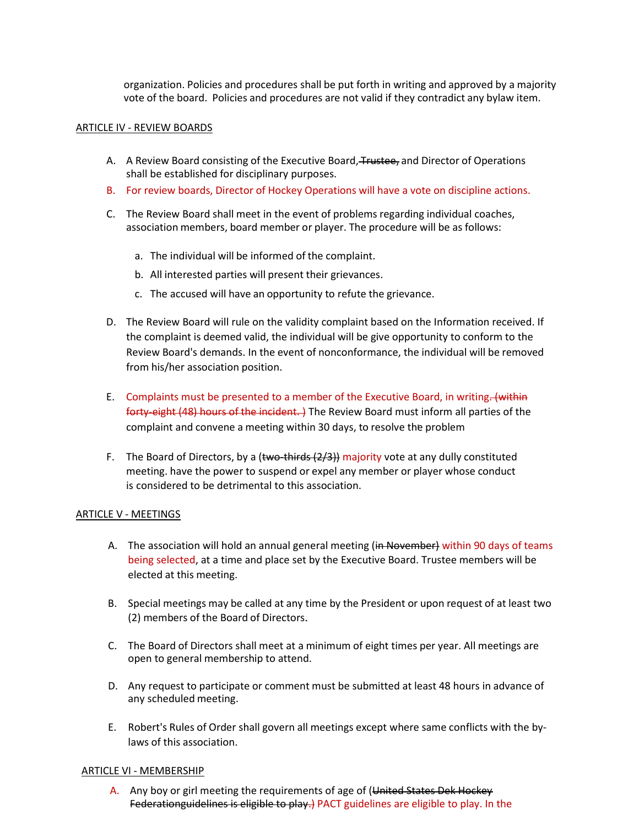organization. Policies and procedures shall be put forth in writing and approved by a majority vote of the board. Policies and procedures are not valid if they contradict any bylaw item.

### ARTICLE IV - REVIEW BOARDS

- A. A Review Board consisting of the Executive Board, Trustee, and Director of Operations shall be established for disciplinary purposes.
- B. For review boards, Director of Hockey Operations will have a vote on discipline actions.
- C. The Review Board shall meet in the event of problems regarding individual coaches, association members, board member or player. The procedure will be as follows:
	- a. The individual will be informed of the complaint.
	- b. All interested parties will present their grievances.
	- c. The accused will have an opportunity to refute the grievance.
- D. The Review Board will rule on the validity complaint based on the Information received. If the complaint is deemed valid, the individual will be give opportunity to conform to the Review Board's demands. In the event of nonconformance, the individual will be removed from his/her association position.
- E. Complaints must be presented to a member of the Executive Board, in writing. (within forty-eight (48) hours of the incident. ) The Review Board must inform all parties of the complaint and convene a meeting within 30 days, to resolve the problem
- F. The Board of Directors, by a (two-thirds  $(2/3)$ ) majority vote at any dully constituted meeting. have the power to suspend or expel any member or player whose conduct is considered to be detrimental to this association.

#### ARTICLE V - MEETINGS

- A. The association will hold an annual general meeting (in November) within 90 days of teams being selected, at a time and place set by the Executive Board. Trustee members will be elected at this meeting.
- B. Special meetings may be called at any time by the President or upon request of at least two (2) members of the Board of Directors.
- C. The Board of Directors shall meet at a minimum of eight times per year. All meetings are open to general membership to attend.
- D. Any request to participate or comment must be submitted at least 48 hours in advance of any scheduled meeting.
- E. Robert's Rules of Order shall govern all meetings except where same conflicts with the bylaws of this association.

#### ARTICLE VI - MEMBERSHIP

A. Any boy or girl meeting the requirements of age of (United States Dek Hockey Federationguidelines is eligible to play.) PACT guidelines are eligible to play. In the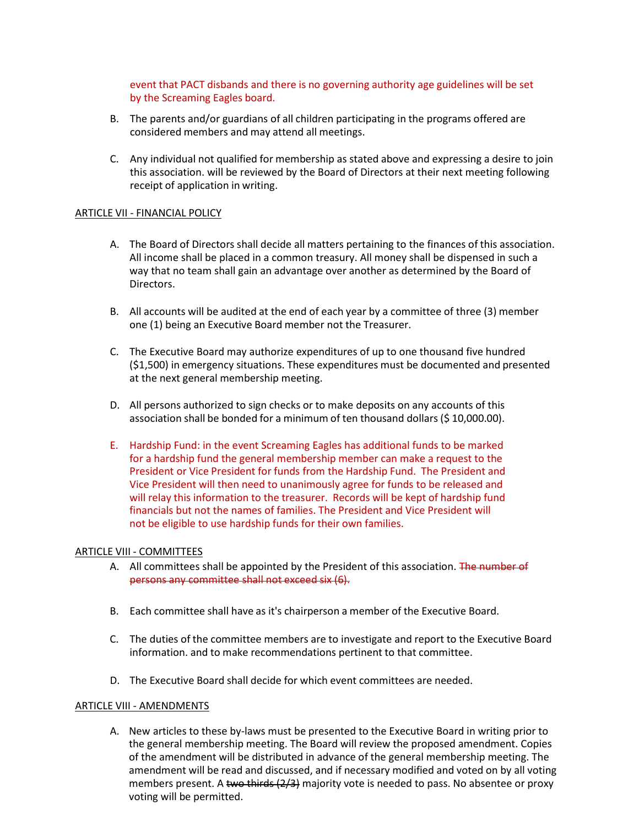event that PACT disbands and there is no governing authority age guidelines will be set by the Screaming Eagles board.

- B. The parents and/or guardians of all children participating in the programs offered are considered members and may attend all meetings.
- C. Any individual not qualified for membership as stated above and expressing a desire to join this association. will be reviewed by the Board of Directors at their next meeting following receipt of application in writing.

### ARTICLE VII - FINANCIAL POLICY

- A. The Board of Directors shall decide all matters pertaining to the finances of this association. All income shall be placed in a common treasury. All money shall be dispensed in such a way that no team shall gain an advantage over another as determined by the Board of Directors.
- B. All accounts will be audited at the end of each year by a committee of three (3) member one (1) being an Executive Board member not the Treasurer.
- C. The Executive Board may authorize expenditures of up to one thousand five hundred (\$1,500) in emergency situations. These expenditures must be documented and presented at the next general membership meeting.
- D. All persons authorized to sign checks or to make deposits on any accounts of this association shall be bonded for a minimum of ten thousand dollars (\$ 10,000.00).
- E. Hardship Fund: in the event Screaming Eagles has additional funds to be marked for a hardship fund the general membership member can make a request to the President or Vice President for funds from the Hardship Fund. The President and Vice President will then need to unanimously agree for funds to be released and will relay this information to the treasurer. Records will be kept of hardship fund financials but not the names of families. The President and Vice President will not be eligible to use hardship funds for their own families.

#### ARTICLE VIII - COMMITTEES

- A. All committees shall be appointed by the President of this association. The number of persons any committee shall not exceed six (6).
- B. Each committee shall have as it's chairperson a member of the Executive Board.
- C. The duties of the committee members are to investigate and report to the Executive Board information. and to make recommendations pertinent to that committee.
- D. The Executive Board shall decide for which event committees are needed.

### ARTICLE VIII - AMENDMENTS

A. New articles to these by-laws must be presented to the Executive Board in writing prior to the general membership meeting. The Board will review the proposed amendment. Copies of the amendment will be distributed in advance of the general membership meeting. The amendment will be read and discussed, and if necessary modified and voted on by all voting members present. A two thirds  $(2/3)$  majority vote is needed to pass. No absentee or proxy voting will be permitted.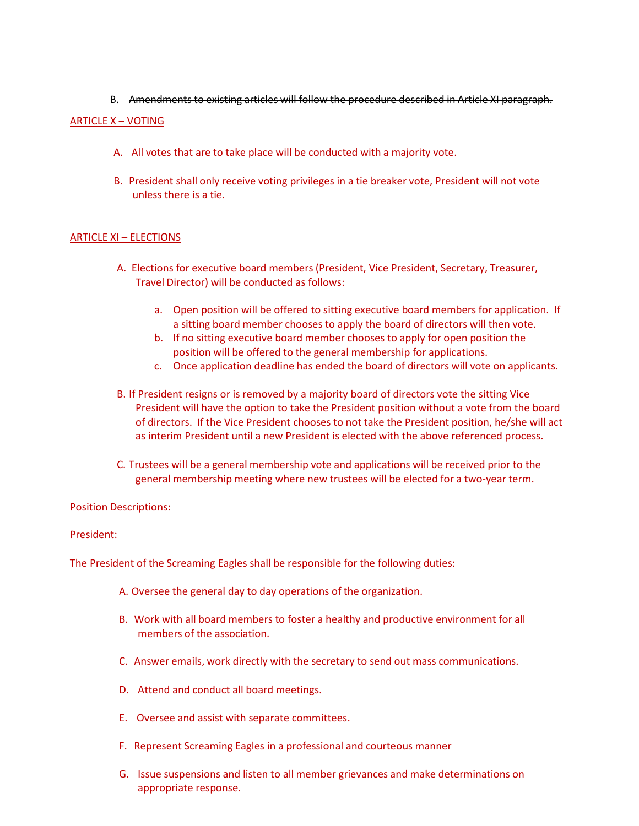B. Amendments to existing articles will follow the procedure described in Article XI paragraph.

# ARTICLE X – VOTING

- A. All votes that are to take place will be conducted with a majority vote.
- B. President shall only receive voting privileges in a tie breaker vote, President will not vote unless there is a tie.

# ARTICLE XI – ELECTIONS

- A. Elections for executive board members (President, Vice President, Secretary, Treasurer, Travel Director) will be conducted as follows:
	- a. Open position will be offered to sitting executive board members for application. If a sitting board member chooses to apply the board of directors will then vote.
	- b. If no sitting executive board member chooses to apply for open position the position will be offered to the general membership for applications.
	- c. Once application deadline has ended the board of directors will vote on applicants.
- B. If President resigns or is removed by a majority board of directors vote the sitting Vice President will have the option to take the President position without a vote from the board of directors. If the Vice President chooses to not take the President position, he/she will act as interim President until a new President is elected with the above referenced process.
- C. Trustees will be a general membership vote and applications will be received prior to the general membership meeting where new trustees will be elected for a two-year term.

# Position Descriptions:

# President:

The President of the Screaming Eagles shall be responsible for the following duties:

- A. Oversee the general day to day operations of the organization.
- B. Work with all board members to foster a healthy and productive environment for all members of the association.
- C. Answer emails, work directly with the secretary to send out mass communications.
- D. Attend and conduct all board meetings.
- E. Oversee and assist with separate committees.
- F. Represent Screaming Eagles in a professional and courteous manner
- G. Issue suspensions and listen to all member grievances and make determinations on appropriate response.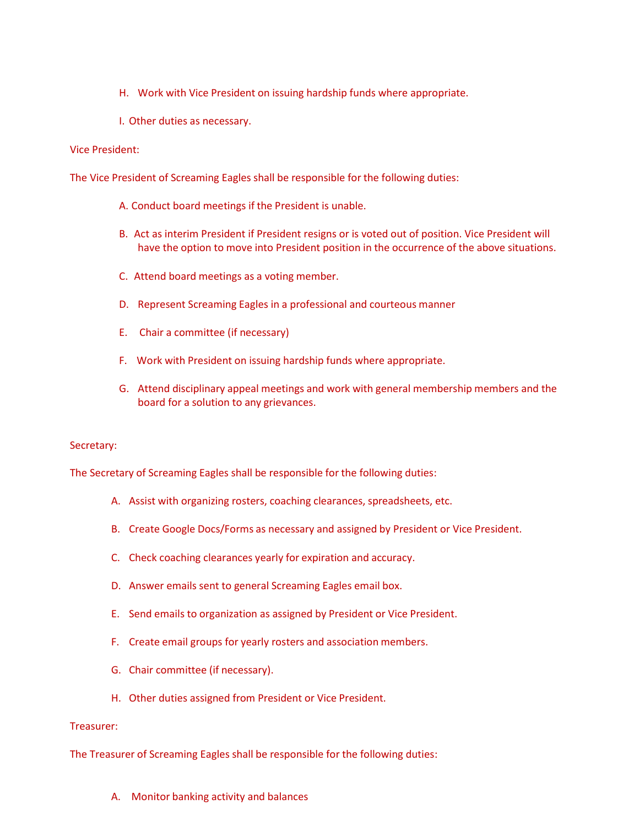- H. Work with Vice President on issuing hardship funds where appropriate.
- I. Other duties as necessary.

## Vice President:

The Vice President of Screaming Eagles shall be responsible for the following duties:

- A. Conduct board meetings if the President is unable.
- B. Act as interim President if President resigns or is voted out of position. Vice President will have the option to move into President position in the occurrence of the above situations.
- C. Attend board meetings as a voting member.
- D. Represent Screaming Eagles in a professional and courteous manner
- E. Chair a committee (if necessary)
- F. Work with President on issuing hardship funds where appropriate.
- G. Attend disciplinary appeal meetings and work with general membership members and the board for a solution to any grievances.

### Secretary:

The Secretary of Screaming Eagles shall be responsible for the following duties:

- A. Assist with organizing rosters, coaching clearances, spreadsheets, etc.
- B. Create Google Docs/Forms as necessary and assigned by President or Vice President.
- C. Check coaching clearances yearly for expiration and accuracy.
- D. Answer emails sent to general Screaming Eagles email box.
- E. Send emails to organization as assigned by President or Vice President.
- F. Create email groups for yearly rosters and association members.
- G. Chair committee (if necessary).
- H. Other duties assigned from President or Vice President.

### Treasurer:

The Treasurer of Screaming Eagles shall be responsible for the following duties:

A. Monitor banking activity and balances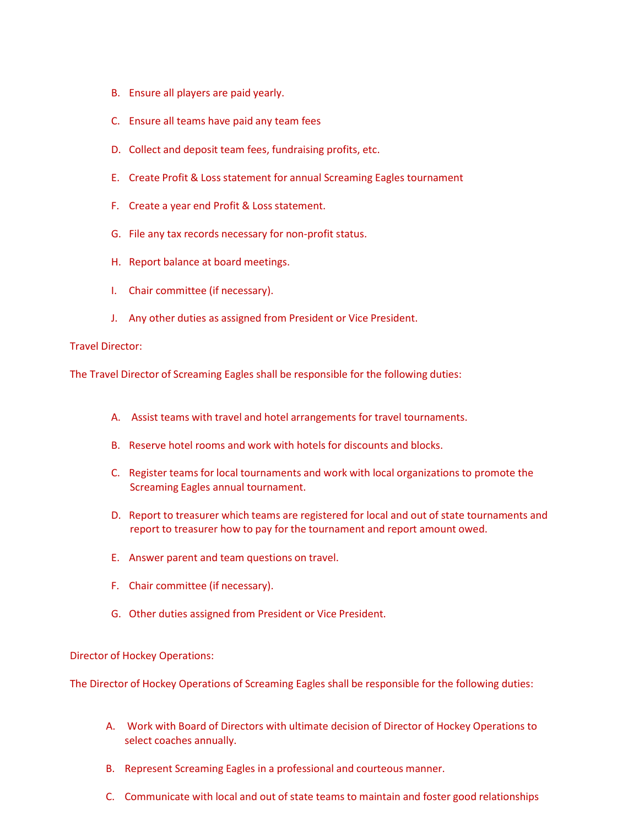- B. Ensure all players are paid yearly.
- C. Ensure all teams have paid any team fees
- D. Collect and deposit team fees, fundraising profits, etc.
- E. Create Profit & Loss statement for annual Screaming Eagles tournament
- F. Create a year end Profit & Loss statement.
- G. File any tax records necessary for non-profit status.
- H. Report balance at board meetings.
- I. Chair committee (if necessary).
- J. Any other duties as assigned from President or Vice President.

### Travel Director:

The Travel Director of Screaming Eagles shall be responsible for the following duties:

- A. Assist teams with travel and hotel arrangements for travel tournaments.
- B. Reserve hotel rooms and work with hotels for discounts and blocks.
- C. Register teams for local tournaments and work with local organizations to promote the Screaming Eagles annual tournament.
- D. Report to treasurer which teams are registered for local and out of state tournaments and report to treasurer how to pay for the tournament and report amount owed.
- E. Answer parent and team questions on travel.
- F. Chair committee (if necessary).
- G. Other duties assigned from President or Vice President.

### Director of Hockey Operations:

The Director of Hockey Operations of Screaming Eagles shall be responsible for the following duties:

- A. Work with Board of Directors with ultimate decision of Director of Hockey Operations to select coaches annually.
- B. Represent Screaming Eagles in a professional and courteous manner.
- C. Communicate with local and out of state teams to maintain and foster good relationships